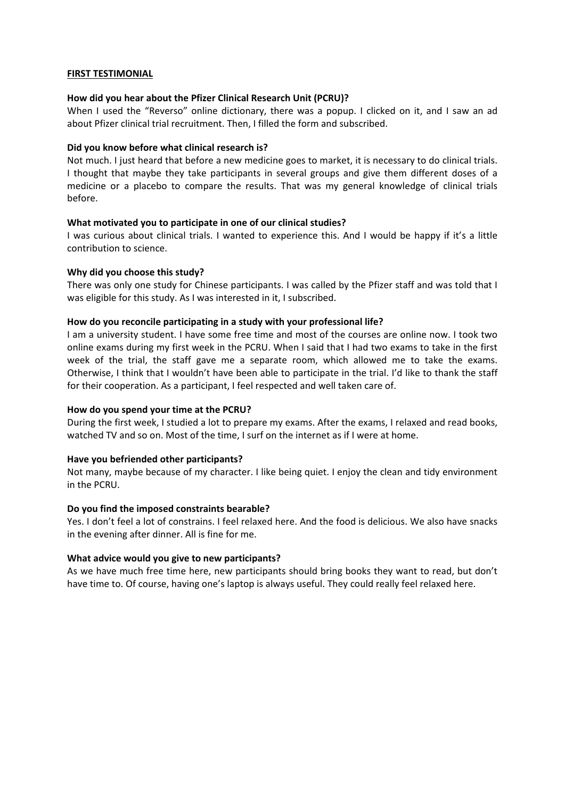## **FIRST TESTIMONIAL**

# **How did you hear about the Pfizer Clinical Research Unit (PCRU)?**

When I used the "Reverso" online dictionary, there was a popup. I clicked on it, and I saw an ad about Pfizer clinical trial recruitment. Then, I filled the form and subscribed.

# **Did you know before what clinical research is?**

Not much. I just heard that before a new medicine goes to market, it is necessary to do clinical trials. I thought that maybe they take participants in several groups and give them different doses of a medicine or a placebo to compare the results. That was my general knowledge of clinical trials before.

## **What motivated you to participate in one of our clinical studies?**

I was curious about clinical trials. I wanted to experience this. And I would be happy if it's a little contribution to science.

## **Why did you choose this study?**

There was only one study for Chinese participants. I was called by the Pfizer staff and was told that I was eligible for this study. As I was interested in it, I subscribed.

## **How do you reconcile participating in a study with your professional life?**

I am a university student. I have some free time and most of the courses are online now. I took two online exams during my first week in the PCRU. When I said that I had two exams to take in the first week of the trial, the staff gave me a separate room, which allowed me to take the exams. Otherwise, I think that I wouldn't have been able to participate in the trial. I'd like to thank the staff for their cooperation. As a participant, I feel respected and well taken care of.

### **How do you spend your time at the PCRU?**

During the first week, I studied a lot to prepare my exams. After the exams, I relaxed and read books, watched TV and so on. Most of the time, I surf on the internet as if I were at home.

# **Have you befriended other participants?**

Not many, maybe because of my character. I like being quiet. I enjoy the clean and tidy environment in the PCRU.

### **Do you find the imposed constraints bearable?**

Yes. I don't feel a lot of constrains. I feel relaxed here. And the food is delicious. We also have snacks in the evening after dinner. All is fine for me.

### **What advice would you give to new participants?**

As we have much free time here, new participants should bring books they want to read, but don't have time to. Of course, having one's laptop is always useful. They could really feel relaxed here.